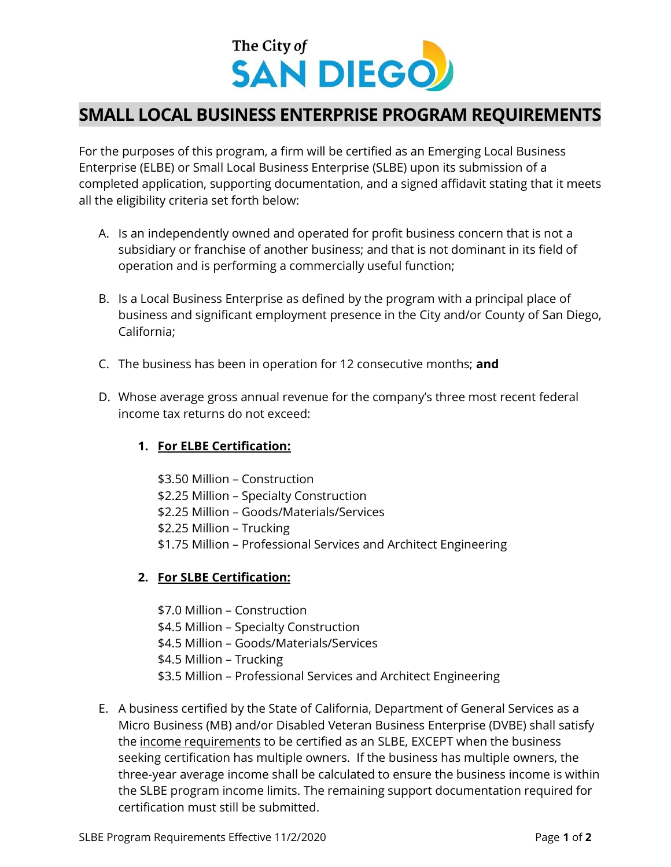

## SMALL LOCAL BUSINESS ENTERPRISE PROGRAM REQUIREMENTS

For the purposes of this program, a firm will be certified as an Emerging Local Business Enterprise (ELBE) or Small Local Business Enterprise (SLBE) upon its submission of a completed application, supporting documentation, and a signed affidavit stating that it meets all the eligibility criteria set forth below:

- A. Is an independently owned and operated for profit business concern that is not a subsidiary or franchise of another business; and that is not dominant in its field of operation and is performing a commercially useful function;
- B. Is a Local Business Enterprise as defined by the program with a principal place of business and significant employment presence in the City and/or County of San Diego, California;
- C. The business has been in operation for 12 consecutive months; and
- D. Whose average gross annual revenue for the company's three most recent federal income tax returns do not exceed:

## 1. For ELBE Certification:

\$3.50 Million – Construction \$2.25 Million – Specialty Construction \$2.25 Million – Goods/Materials/Services \$2.25 Million – Trucking \$1.75 Million – Professional Services and Architect Engineering

## 2. For SLBE Certification:

\$7.0 Million – Construction \$4.5 Million – Specialty Construction \$4.5 Million – Goods/Materials/Services \$4.5 Million – Trucking \$3.5 Million – Professional Services and Architect Engineering

E. A business certified by the State of California, Department of General Services as a Micro Business (MB) and/or Disabled Veteran Business Enterprise (DVBE) shall satisfy the income requirements to be certified as an SLBE, EXCEPT when the business seeking certification has multiple owners. If the business has multiple owners, the three-year average income shall be calculated to ensure the business income is within the SLBE program income limits. The remaining support documentation required for certification must still be submitted.